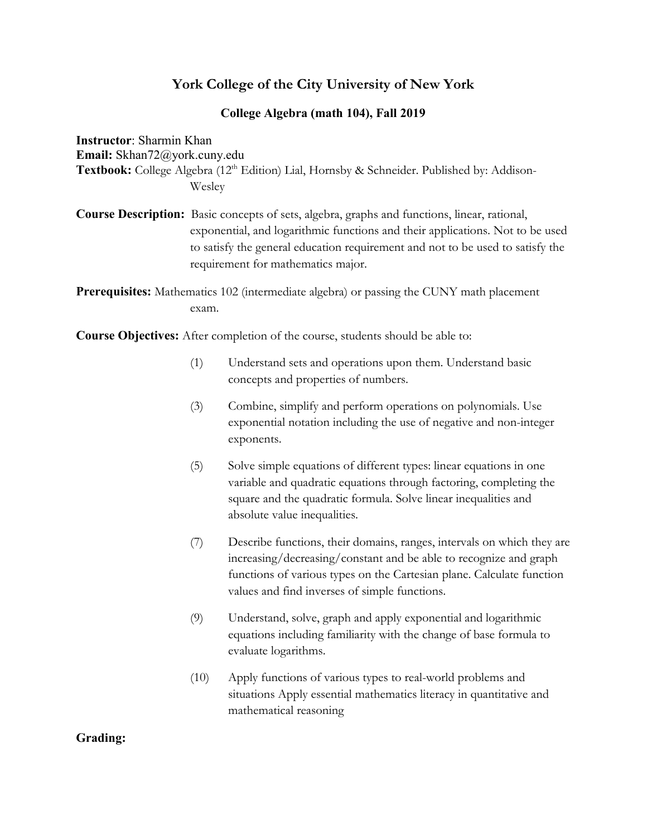# **York College of the City University of New York**

## **College Algebra (math 104), Fall 2019**

## **Instructor**: Sharmin Khan **Email:** Skhan72@york.cuny.edu Textbook: College Algebra (12<sup>th</sup> Edition) Lial, Hornsby & Schneider. Published by: Addison-Wesley

**Course Description:** Basic concepts of sets, algebra, graphs and functions, linear, rational, exponential, and logarithmic functions and their applications. Not to be used to satisfy the general education requirement and not to be used to satisfy the requirement for mathematics major.

**Prerequisites:** Mathematics 102 (intermediate algebra) or passing the CUNY math placement exam.

**Course Objectives:** After completion of the course, students should be able to:

- (1) Understand sets and operations upon them. Understand basic concepts and properties of numbers.
- (3) Combine, simplify and perform operations on polynomials. Use exponential notation including the use of negative and non-integer exponents.
- (5) Solve simple equations of different types: linear equations in one variable and quadratic equations through factoring, completing the square and the quadratic formula. Solve linear inequalities and absolute value inequalities.
- (7) Describe functions, their domains, ranges, intervals on which they are increasing/decreasing/constant and be able to recognize and graph functions of various types on the Cartesian plane. Calculate function values and find inverses of simple functions.
- (9) Understand, solve, graph and apply exponential and logarithmic equations including familiarity with the change of base formula to evaluate logarithms.
- (10) Apply functions of various types to real-world problems and situations Apply essential mathematics literacy in quantitative and mathematical reasoning

#### **Grading:**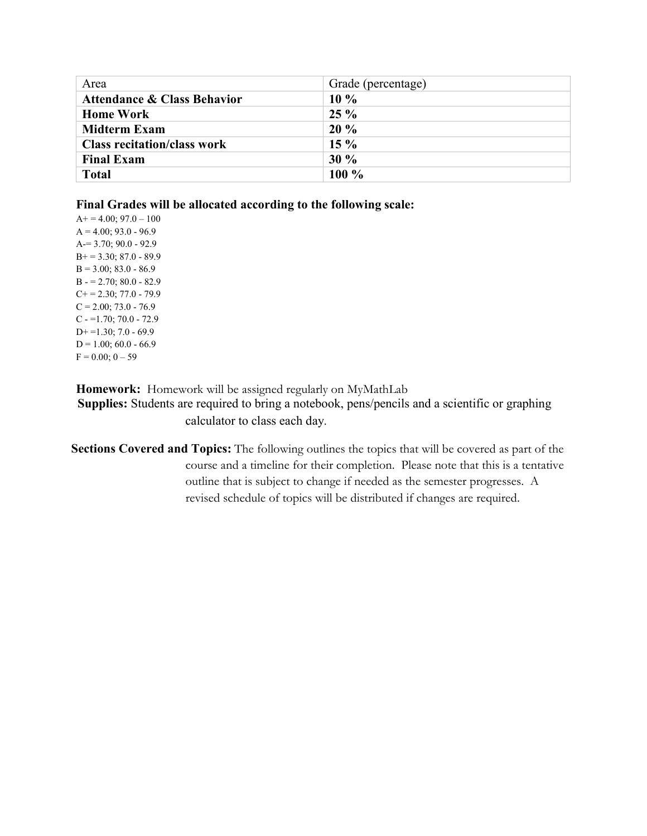| Area                                   | Grade (percentage) |
|----------------------------------------|--------------------|
| <b>Attendance &amp; Class Behavior</b> | $10\%$             |
| <b>Home Work</b>                       | $25\%$             |
| <b>Midterm Exam</b>                    | 20%                |
| <b>Class recitation/class work</b>     | $15\%$             |
| <b>Final Exam</b>                      | 30%                |
| <b>Total</b>                           | $100\%$            |

#### **Final Grades will be allocated according to the following scale:**

 $A+=4.00; 97.0-100$  $A = 4.00; 93.0 - 96.9$ A-= 3.70; 90.0 - 92.9  $B+=3.30; 87.0 - 89.9$  $B = 3.00; 83.0 - 86.9$  $B - 2.70$ ; 80.0 - 82.9  $C+= 2.30; 77.0 - 79.9$  $C = 2.00; 73.0 - 76.9$ C -  $=$  1.70; 70.0 - 72.9  $D+ = 1.30; 7.0 - 69.9$  $D = 1.00; 60.0 - 66.9$  $F = 0.00; 0 - 59$ 

**Homework:** Homework will be assigned regularly on MyMathLab

 **Supplies:** Students are required to bring a notebook, pens/pencils and a scientific or graphing calculator to class each day.

**Sections Covered and Topics:** The following outlines the topics that will be covered as part of the course and a timeline for their completion. Please note that this is a tentative outline that is subject to change if needed as the semester progresses. A revised schedule of topics will be distributed if changes are required.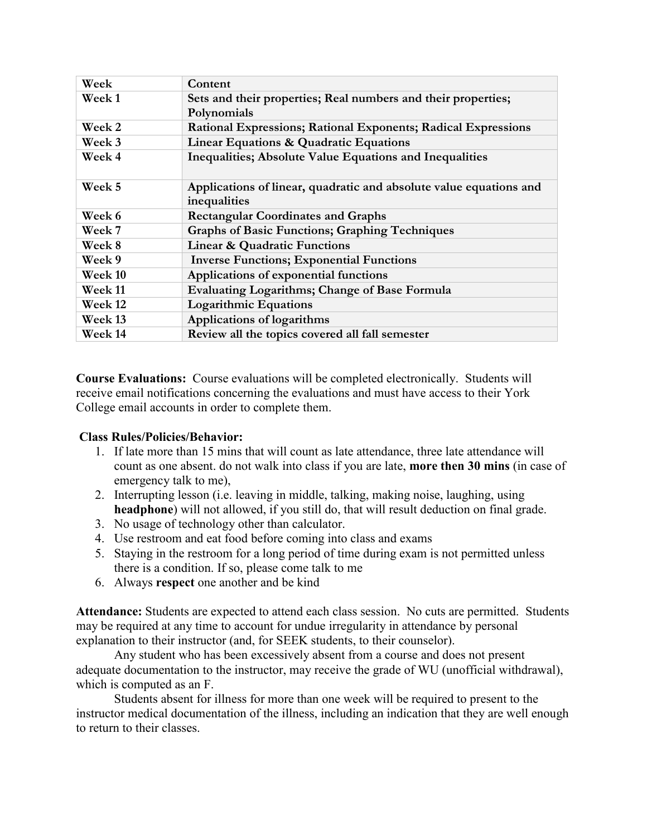| Week    | Content                                                                            |
|---------|------------------------------------------------------------------------------------|
| Week 1  | Sets and their properties; Real numbers and their properties;                      |
|         | Polynomials                                                                        |
| Week 2  | <b>Rational Expressions; Rational Exponents; Radical Expressions</b>               |
| Week 3  | Linear Equations & Quadratic Equations                                             |
| Week 4  | Inequalities; Absolute Value Equations and Inequalities                            |
| Week 5  | Applications of linear, quadratic and absolute value equations and<br>inequalities |
| Week 6  | <b>Rectangular Coordinates and Graphs</b>                                          |
| Week 7  | <b>Graphs of Basic Functions; Graphing Techniques</b>                              |
| Week 8  | <b>Linear &amp; Quadratic Functions</b>                                            |
| Week 9  | <b>Inverse Functions; Exponential Functions</b>                                    |
| Week 10 | Applications of exponential functions                                              |
| Week 11 | <b>Evaluating Logarithms; Change of Base Formula</b>                               |
| Week 12 | <b>Logarithmic Equations</b>                                                       |
| Week 13 | Applications of logarithms                                                         |
| Week 14 | Review all the topics covered all fall semester                                    |

**Course Evaluations:** Course evaluations will be completed electronically. Students will receive email notifications concerning the evaluations and must have access to their York College email accounts in order to complete them.

#### **Class Rules/Policies/Behavior:**

- 1. If late more than 15 mins that will count as late attendance, three late attendance will count as one absent. do not walk into class if you are late, **more then 30 mins** (in case of emergency talk to me),
- 2. Interrupting lesson (i.e. leaving in middle, talking, making noise, laughing, using **headphone**) will not allowed, if you still do, that will result deduction on final grade.
- 3. No usage of technology other than calculator.
- 4. Use restroom and eat food before coming into class and exams
- 5. Staying in the restroom for a long period of time during exam is not permitted unless there is a condition. If so, please come talk to me
- 6. Always **respect** one another and be kind

**Attendance:** Students are expected to attend each class session. No cuts are permitted. Students may be required at any time to account for undue irregularity in attendance by personal explanation to their instructor (and, for SEEK students, to their counselor).

Any student who has been excessively absent from a course and does not present adequate documentation to the instructor, may receive the grade of WU (unofficial withdrawal), which is computed as an F.

Students absent for illness for more than one week will be required to present to the instructor medical documentation of the illness, including an indication that they are well enough to return to their classes.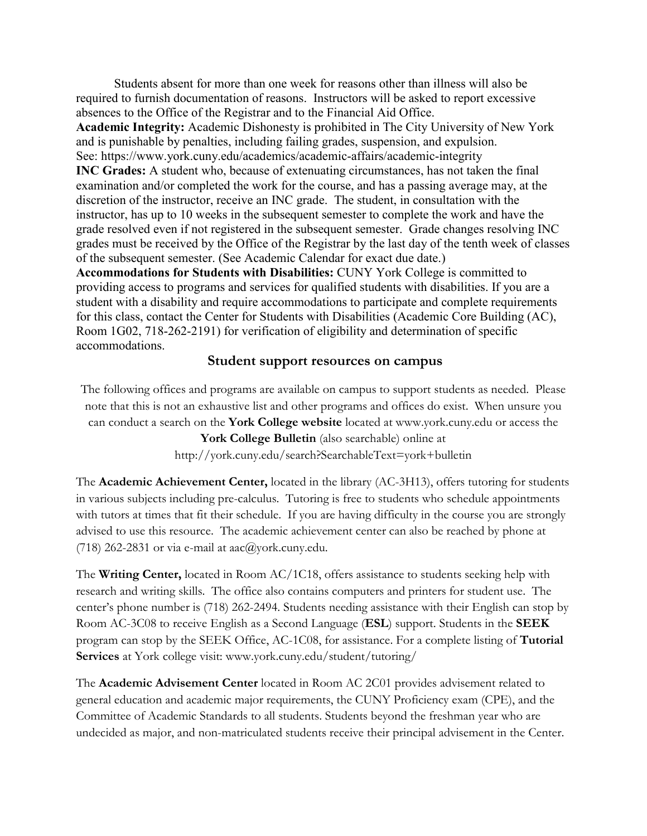Students absent for more than one week for reasons other than illness will also be required to furnish documentation of reasons. Instructors will be asked to report excessive absences to the Office of the Registrar and to the Financial Aid Office. **Academic Integrity:** Academic Dishonesty is prohibited in The City University of New York and is punishable by penalties, including failing grades, suspension, and expulsion. See: https://www.york.cuny.edu/academics/academic-affairs/academic-integrity **INC Grades:** A student who, because of extenuating circumstances, has not taken the final examination and/or completed the work for the course, and has a passing average may, at the discretion of the instructor, receive an INC grade. The student, in consultation with the instructor, has up to 10 weeks in the subsequent semester to complete the work and have the grade resolved even if not registered in the subsequent semester. Grade changes resolving INC grades must be received by the Office of the Registrar by the last day of the tenth week of classes of the subsequent semester. (See Academic Calendar for exact due date.) **Accommodations for Students with Disabilities:** CUNY York College is committed to providing access to programs and services for qualified students with disabilities. If you are a student with a disability and require accommodations to participate and complete requirements for this class, contact the Center for Students with Disabilities (Academic Core Building (AC), Room 1G02, 718-262-2191) for verification of eligibility and determination of specific accommodations.

### **Student support resources on campus**

The following offices and programs are available on campus to support students as needed. Please note that this is not an exhaustive list and other programs and offices do exist. When unsure you can conduct a search on the **York College website** located at www.york.cuny.edu or access the

**York College Bulletin** (also searchable) online at http://york.cuny.edu/search?SearchableText=york+bulletin

The **Academic Achievement Center,** located in the library (AC-3H13), offers tutoring for students in various subjects including pre-calculus. Tutoring is free to students who schedule appointments with tutors at times that fit their schedule. If you are having difficulty in the course you are strongly advised to use this resource. The academic achievement center can also be reached by phone at (718) 262-2831 or via e-mail at aac@york.cuny.edu.

The **Writing Center,** located in Room AC/1C18, offers assistance to students seeking help with research and writing skills. The office also contains computers and printers for student use. The center's phone number is (718) 262-2494. Students needing assistance with their English can stop by Room AC-3C08 to receive English as a Second Language (**ESL**) support. Students in the **SEEK** program can stop by the SEEK Office, AC-1C08, for assistance. For a complete listing of **Tutorial Services** at York college visit: www.york.cuny.edu/student/tutoring/

The **Academic Advisement Center** located in Room AC 2C01 provides advisement related to general education and academic major requirements, the CUNY Proficiency exam (CPE), and the Committee of Academic Standards to all students. Students beyond the freshman year who are undecided as major, and non-matriculated students receive their principal advisement in the Center.